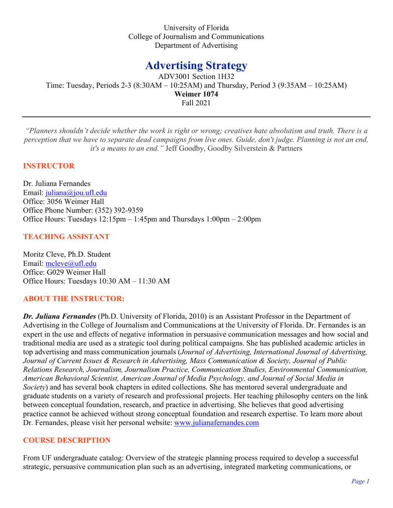University of Florida College of Journalism and Communications Department of Advertising

# **Advertising Strategy**

ADV3001 Section 1H32 Time: Tuesday, Periods 2-3 (8:30AM – 10:25AM) and Thursday, Period 3 (9:35AM – 10:25AM) **Weimer 1074** Fall 2021

*"Planners shouldn't decide whether the work is right or wrong; creatives hate absolutism and truth. There is a perception that we have to separate dead campaigns from live ones. Guide, don't judge. Planning is not an end, it's a means to an end."* Jeff Goodby, Goodby Silverstein & Partners

## **INSTRUCTOR**

Dr. Juliana Fernandes Email: [juliana@jou.ufl.edu](mailto:juliana@jou.ufl.edu) Office: 3056 Weimer Hall Office Phone Number: (352) 392-9359 Office Hours: Tuesdays 12:15pm – 1:45pm and Thursdays 1:00pm – 2:00pm

# **TEACHING ASSISTANT**

Moritz Cleve, Ph.D. Student Email: [mcleve@ufl.edu](mailto:mcleve@ufl.edu) Office: G029 Weimer Hall Office Hours: Tuesdays 10:30 AM – 11:30 AM

## **ABOUT THE INSTRUCTOR:**

*Dr. Juliana Fernandes* (Ph.D. University of Florida, 2010) is an Assistant Professor in the Department of Advertising in the College of Journalism and Communications at the University of Florida. Dr. Fernandes is an expert in the use and effects of negative information in persuasive communication messages and how social and traditional media are used as a strategic tool during political campaigns. She has published academic articles in top advertising and mass communication journals (*Journal of Advertising, International Journal of Advertising, Journal of Current Issues & Research in Advertising, Mass Communication & Society, Journal of Public Relations Research, Journalism, Journalism Practice, Communication Studies, Environmental Communication, American Behavioral Scientist, American Journal of Media Psychology, and Journal of Social Media in Society*) and has several book chapters in edited collections. She has mentored several undergraduate and graduate students on a variety of research and professional projects. Her teaching philosophy centers on the link between conceptual foundation, research, and practice in advertising. She believes that good advertising practice cannot be achieved without strong conceptual foundation and research expertise. To learn more about Dr. Fernandes, please visit her personal website: [www.julianafernandes.com](http://www.julianafernandes.com/) 

## **COURSE DESCRIPTION**

From UF undergraduate catalog: Overview of the strategic planning process required to develop a successful strategic, persuasive communication plan such as an advertising, integrated marketing communications, or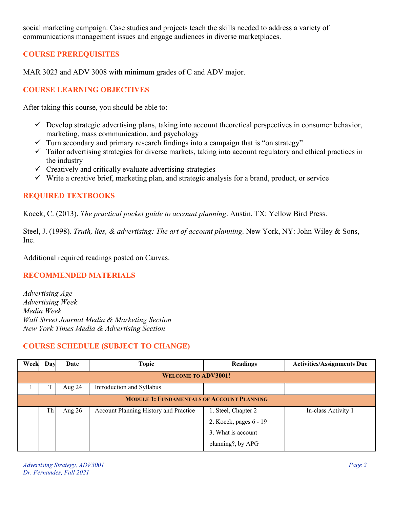social marketing campaign. Case studies and projects teach the skills needed to address a variety of communications management issues and engage audiences in diverse marketplaces.

# **COURSE PREREQUISITES**

MAR 3023 and ADV 3008 with minimum grades of C and ADV major.

# **COURSE LEARNING OBJECTIVES**

After taking this course, you should be able to:

- $\checkmark$  Develop strategic advertising plans, taking into account theoretical perspectives in consumer behavior, marketing, mass communication, and psychology
- $\checkmark$  Turn secondary and primary research findings into a campaign that is "on strategy"
- $\checkmark$  Tailor advertising strategies for diverse markets, taking into account regulatory and ethical practices in the industry
- $\checkmark$  Creatively and critically evaluate advertising strategies
- $\checkmark$  Write a creative brief, marketing plan, and strategic analysis for a brand, product, or service

## **REQUIRED TEXTBOOKS**

Kocek, C. (2013). *The practical pocket guide to account planning*. Austin, TX: Yellow Bird Press.

Steel, J. (1998). *Truth, lies, & advertising: The art of account planning*. New York, NY: John Wiley & Sons, Inc.

Additional required readings posted on Canvas.

## **RECOMMENDED MATERIALS**

*Advertising Age Advertising Week Media Week Wall Street Journal Media & Marketing Section New York Times Media & Advertising Section*

## **COURSE SCHEDULE (SUBJECT TO CHANGE)**

| Week                                              | Day | Date     | Topic                                 | <b>Readings</b>        | <b>Activities/Assignments Due</b> |  |
|---------------------------------------------------|-----|----------|---------------------------------------|------------------------|-----------------------------------|--|
| <b>WELCOME TO ADV3001!</b>                        |     |          |                                       |                        |                                   |  |
|                                                   |     | Aug $24$ | Introduction and Syllabus             |                        |                                   |  |
| <b>MODULE 1: FUNDAMENTALS OF ACCOUNT PLANNING</b> |     |          |                                       |                        |                                   |  |
|                                                   | Th  | Aug $26$ | Account Planning History and Practice | 1. Steel, Chapter 2    | In-class Activity 1               |  |
|                                                   |     |          |                                       | 2. Kocek, pages 6 - 19 |                                   |  |
|                                                   |     |          |                                       | 3. What is account     |                                   |  |
|                                                   |     |          |                                       | planning?, by APG      |                                   |  |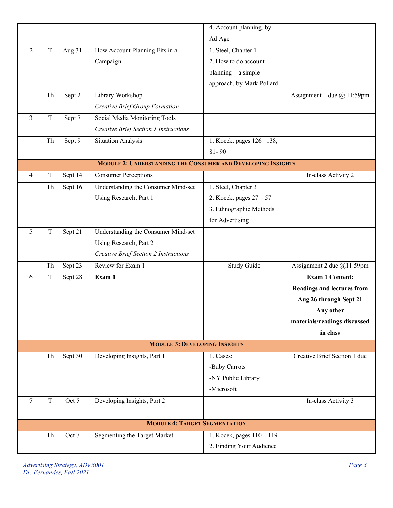|                |             |         |                                                                     | 4. Account planning, by   |                                   |
|----------------|-------------|---------|---------------------------------------------------------------------|---------------------------|-----------------------------------|
|                |             |         |                                                                     | Ad Age                    |                                   |
| $\overline{2}$ | $\mathbf T$ | Aug 31  | How Account Planning Fits in a                                      | 1. Steel, Chapter 1       |                                   |
|                |             |         | Campaign                                                            | 2. How to do account      |                                   |
|                |             |         |                                                                     | $planning - a simple$     |                                   |
|                |             |         |                                                                     | approach, by Mark Pollard |                                   |
|                | Th          | Sept 2  | Library Workshop                                                    |                           | Assignment 1 due @ 11:59pm        |
|                |             |         | Creative Brief Group Formation                                      |                           |                                   |
| $\overline{3}$ | $\rm T$     | Sept 7  | Social Media Monitoring Tools                                       |                           |                                   |
|                |             |         | <b>Creative Brief Section 1 Instructions</b>                        |                           |                                   |
|                | Th          | Sept 9  | <b>Situation Analysis</b>                                           | 1. Kocek, pages 126-138,  |                                   |
|                |             |         |                                                                     | $81 - 90$                 |                                   |
|                |             |         | <b>MODULE 2: UNDERSTANDING THE CONSUMER AND DEVELOPING INSIGHTS</b> |                           |                                   |
| 4              | T           | Sept 14 | <b>Consumer Perceptions</b>                                         |                           | In-class Activity 2               |
|                | Th          | Sept 16 | Understanding the Consumer Mind-set                                 | 1. Steel, Chapter 3       |                                   |
|                |             |         | Using Research, Part 1                                              | 2. Kocek, pages $27 - 57$ |                                   |
|                |             |         |                                                                     | 3. Ethnographic Methods   |                                   |
|                |             |         |                                                                     | for Advertising           |                                   |
| 5              | T           | Sept 21 | Understanding the Consumer Mind-set                                 |                           |                                   |
|                |             |         | Using Research, Part 2                                              |                           |                                   |
|                |             |         | <b>Creative Brief Section 2 Instructions</b>                        |                           |                                   |
|                | Th          | Sept 23 | Review for Exam 1                                                   | <b>Study Guide</b>        | Assignment 2 due @11:59pm         |
| 6              | T           | Sept 28 | Exam 1                                                              |                           | <b>Exam 1 Content:</b>            |
|                |             |         |                                                                     |                           | <b>Readings and lectures from</b> |
|                |             |         |                                                                     |                           | Aug 26 through Sept 21            |
|                |             |         |                                                                     |                           | Any other                         |
|                |             |         |                                                                     |                           | materials/readings discussed      |
|                |             |         |                                                                     |                           | in class                          |
|                |             |         | <b>MODULE 3: DEVELOPING INSIGHTS</b>                                |                           |                                   |
|                | Th          | Sept 30 | Developing Insights, Part 1                                         | 1. Cases:                 | Creative Brief Section 1 due      |
|                |             |         |                                                                     | -Baby Carrots             |                                   |
|                |             |         |                                                                     | -NY Public Library        |                                   |
|                |             |         |                                                                     | -Microsoft                |                                   |
| 7              | $\mathbf T$ | Oct 5   | Developing Insights, Part 2                                         |                           | In-class Activity 3               |
|                |             |         |                                                                     |                           |                                   |
|                |             |         | <b>MODULE 4: TARGET SEGMENTATION</b>                                |                           |                                   |
|                | Th          | Oct 7   | Segmenting the Target Market                                        | 1. Kocek, pages 110 - 119 |                                   |
|                |             |         |                                                                     | 2. Finding Your Audience  |                                   |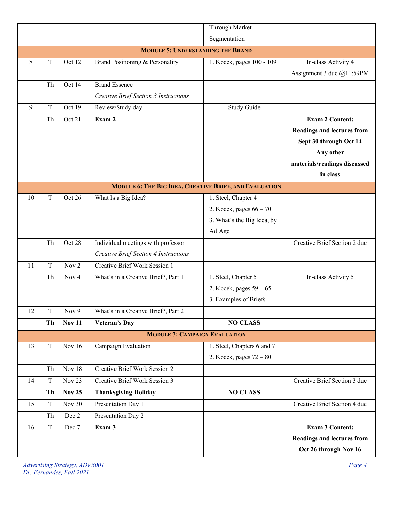|                                                               |             |                  |                                              | Through Market             |                                   |  |  |  |
|---------------------------------------------------------------|-------------|------------------|----------------------------------------------|----------------------------|-----------------------------------|--|--|--|
|                                                               |             |                  |                                              | Segmentation               |                                   |  |  |  |
|                                                               |             |                  | <b>MODULE 5: UNDERSTANDING THE BRAND</b>     |                            |                                   |  |  |  |
| 8                                                             | T           | Oct 12           | Brand Positioning & Personality              | 1. Kocek, pages 100 - 109  | In-class Activity 4               |  |  |  |
|                                                               |             |                  |                                              |                            | Assignment 3 due $@11:59PM$       |  |  |  |
|                                                               | Th          | Oct 14           | <b>Brand Essence</b>                         |                            |                                   |  |  |  |
|                                                               |             |                  | <b>Creative Brief Section 3 Instructions</b> |                            |                                   |  |  |  |
| 9                                                             | $\rm T$     | Oct 19           | Review/Study day                             | <b>Study Guide</b>         |                                   |  |  |  |
|                                                               | Th          | Oct 21           | Exam 2                                       |                            | <b>Exam 2 Content:</b>            |  |  |  |
|                                                               |             |                  |                                              |                            | <b>Readings and lectures from</b> |  |  |  |
|                                                               |             |                  |                                              |                            | Sept 30 through Oct 14            |  |  |  |
|                                                               |             |                  |                                              |                            | Any other                         |  |  |  |
|                                                               |             |                  |                                              |                            | materials/readings discussed      |  |  |  |
|                                                               |             |                  |                                              |                            | in class                          |  |  |  |
| <b>MODULE 6: THE BIG IDEA, CREATIVE BRIEF, AND EVALUATION</b> |             |                  |                                              |                            |                                   |  |  |  |
| 10                                                            | T           | Oct 26           | What Is a Big Idea?                          | 1. Steel, Chapter 4        |                                   |  |  |  |
|                                                               |             |                  |                                              | 2. Kocek, pages $66 - 70$  |                                   |  |  |  |
|                                                               |             |                  |                                              | 3. What's the Big Idea, by |                                   |  |  |  |
|                                                               |             |                  |                                              | Ad Age                     |                                   |  |  |  |
|                                                               | Th          | Oct 28           | Individual meetings with professor           |                            | Creative Brief Section 2 due      |  |  |  |
|                                                               |             |                  | <b>Creative Brief Section 4 Instructions</b> |                            |                                   |  |  |  |
| 11                                                            | T           | Nov 2            | Creative Brief Work Session 1                |                            |                                   |  |  |  |
|                                                               | Th          | Nov <sub>4</sub> | What's in a Creative Brief?, Part 1          | 1. Steel, Chapter 5        | In-class Activity 5               |  |  |  |
|                                                               |             |                  |                                              | 2. Kocek, pages $59 - 65$  |                                   |  |  |  |
|                                                               |             |                  |                                              | 3. Examples of Briefs      |                                   |  |  |  |
| 12                                                            | $\mathbf T$ | Nov 9            | What's in a Creative Brief?, Part 2          |                            |                                   |  |  |  |
|                                                               | Th          | <b>Nov 11</b>    | <b>Veteran's Day</b>                         | <b>NO CLASS</b>            |                                   |  |  |  |
|                                                               |             |                  | <b>MODULE 7: CAMPAIGN EVALUATION</b>         |                            |                                   |  |  |  |
| 13                                                            | T           | Nov 16           | Campaign Evaluation                          | 1. Steel, Chapters 6 and 7 |                                   |  |  |  |
|                                                               |             |                  |                                              | 2. Kocek, pages $72 - 80$  |                                   |  |  |  |
|                                                               | Th          | Nov 18           | Creative Brief Work Session 2                |                            |                                   |  |  |  |
| 14                                                            | $\mathbf T$ | Nov 23           | <b>Creative Brief Work Session 3</b>         |                            | Creative Brief Section 3 due      |  |  |  |
|                                                               | Th          | <b>Nov 25</b>    | <b>Thanksgiving Holiday</b>                  | <b>NO CLASS</b>            |                                   |  |  |  |
| 15                                                            | T           | Nov 30           | Presentation Day 1                           |                            | Creative Brief Section 4 due      |  |  |  |
|                                                               | Th          | Dec 2            | Presentation Day 2                           |                            |                                   |  |  |  |
| 16                                                            | $\mathbf T$ | Dec 7            | Exam 3                                       |                            | <b>Exam 3 Content:</b>            |  |  |  |
|                                                               |             |                  |                                              |                            | <b>Readings and lectures from</b> |  |  |  |
|                                                               |             |                  |                                              |                            | Oct 26 through Nov 16             |  |  |  |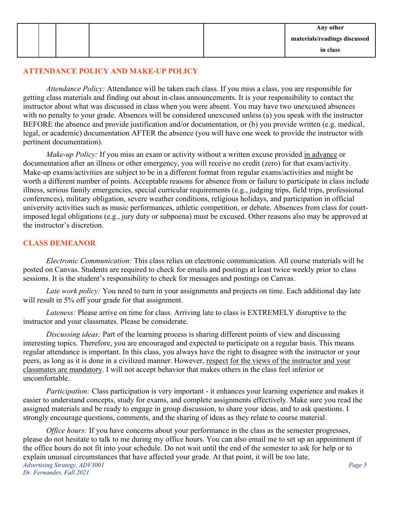# **ATTENDANCE POLICY AND MAKE-UP POLICY**

*Attendance Policy:* Attendance will be taken each class. If you miss a class, you are responsible for getting class materials and finding out about in-class announcements. It is your responsibility to contact the instructor about what was discussed in class when you were absent. You may have two unexcused absences with no penalty to your grade. Absences will be considered unexcused unless (a) you speak with the instructor BEFORE the absence and provide justification and/or documentation, or (b) you provide written (e.g. medical, legal, or academic) documentation AFTER the absence (you will have one week to provide the instructor with pertinent documentation).

*Make-up Policy:* If you miss an exam or activity without a written excuse provided in advance or documentation after an illness or other emergency, you will receive no credit (zero) for that exam/activity. Make-up exams/activities are subject to be in a different format from regular exams/activities and might be worth a different number of points. Acceptable reasons for absence from or failure to participate in class include illness, serious family emergencies, special curricular requirements (e.g., judging trips, field trips, professional conferences), military obligation, severe weather conditions, religious holidays, and participation in official university activities such as music performances, athletic competition, or debate. Absences from class for courtimposed legal obligations (e.g., jury duty or subpoena) must be excused. Other reasons also may be approved at the instructor's discretion.

## **CLASS DEMEANOR**

*Electronic Communication:* This class relies on electronic communication. All course materials will be posted on Canvas. Students are required to check for emails and postings at least twice weekly prior to class sessions. It is the student's responsibility to check for messages and postings on Canvas.

*Late work policy:* You need to turn in your assignments and projects on time. Each additional day late will result in 5% off your grade for that assignment.

*Lateness:* Please arrive on time for class. Arriving late to class is EXTREMELY disruptive to the instructor and your classmates. Please be considerate.

*Discussing ideas:* Part of the learning process is sharing different points of view and discussing interesting topics. Therefore, you are encouraged and expected to participate on a regular basis. This means regular attendance is important. In this class, you always have the right to disagree with the instructor or your peers, as long as it is done in a civilized manner. However, respect for the views of the instructor and your classmates are mandatory. I will not accept behavior that makes others in the class feel inferior or uncomfortable.

*Participation:* Class participation is very important - it enhances your learning experience and makes it easier to understand concepts, study for exams, and complete assignments effectively. Make sure you read the assigned materials and be ready to engage in group discussion, to share your ideas, and to ask questions. I strongly encourage questions, comments, and the sharing of ideas as they relate to course material.

*Advertising Strategy, ADV3001 Page 5 Dr. Fernandes, Fall 2021 Office hours:* If you have concerns about your performance in the class as the semester progresses, please do not hesitate to talk to me during my office hours. You can also email me to set up an appointment if the office hours do not fit into your schedule. Do not wait until the end of the semester to ask for help or to explain unusual circumstances that have affected your grade. At that point, it will be too late.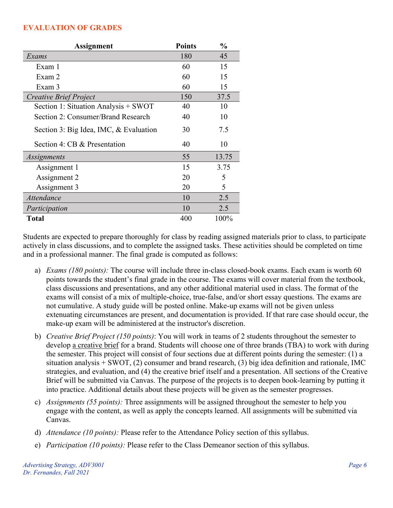#### **EVALUATION OF GRADES**

| Assignment                             | <b>Points</b> | $\frac{0}{0}$ |
|----------------------------------------|---------------|---------------|
| Exams                                  | 180           | 45            |
| Exam 1                                 | 60            | 15            |
| Exam 2                                 | 60            | 15            |
| Exam 3                                 | 60            | 15            |
| Creative Brief Project                 | 150           | 37.5          |
| Section 1: Situation Analysis + SWOT   | 40            | 10            |
| Section 2: Consumer/Brand Research     | 40            | 10            |
| Section 3: Big Idea, IMC, & Evaluation | 30            | 7.5           |
| Section 4: CB & Presentation           | 40            | 10            |
| Assignments                            | 55            | 13.75         |
| Assignment 1                           | 15            | 3.75          |
| Assignment 2                           | 20            | 5             |
| Assignment 3                           | 20            | 5             |
| Attendance                             | 10            | 2.5           |
| Participation                          | 10            | 2.5           |
| <b>Total</b>                           | 400           | 100%          |

Students are expected to prepare thoroughly for class by reading assigned materials prior to class, to participate actively in class discussions, and to complete the assigned tasks. These activities should be completed on time and in a professional manner. The final grade is computed as follows:

- a) *Exams (180 points):* The course will include three in-class closed-book exams. Each exam is worth 60 points towards the student's final grade in the course. The exams will cover material from the textbook, class discussions and presentations, and any other additional material used in class. The format of the exams will consist of a mix of multiple-choice, true-false, and/or short essay questions. The exams are not cumulative. A study guide will be posted online. Make-up exams will not be given unless extenuating circumstances are present, and documentation is provided. If that rare case should occur, the make-up exam will be administered at the instructor's discretion.
- b) *Creative Brief Project (150 points)*: You will work in teams of 2 students throughout the semester to develop a creative brief for a brand. Students will choose one of three brands (TBA) to work with during the semester. This project will consist of four sections due at different points during the semester: (1) a situation analysis  $+$  SWOT, (2) consumer and brand research, (3) big idea definition and rationale, IMC strategies, and evaluation, and (4) the creative brief itself and a presentation. All sections of the Creative Brief will be submitted via Canvas. The purpose of the projects is to deepen book-learning by putting it into practice. Additional details about these projects will be given as the semester progresses.
- c) *Assignments (55 points):* Three assignments will be assigned throughout the semester to help you engage with the content, as well as apply the concepts learned. All assignments will be submitted via Canvas.
- d) *Attendance (10 points):* Please refer to the Attendance Policy section of this syllabus.
- e) *Participation (10 points):* Please refer to the Class Demeanor section of this syllabus.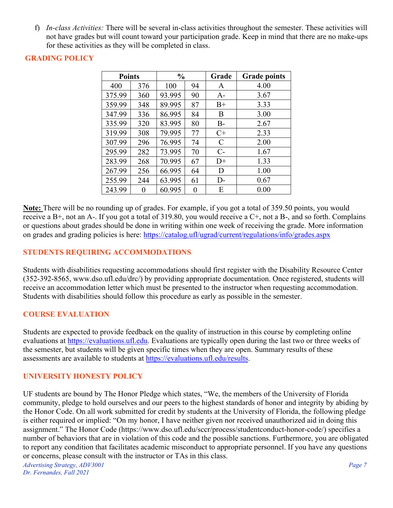f) *In-class Activities:* There will be several in-class activities throughout the semester. These activities will not have grades but will count toward your participation grade. Keep in mind that there are no make-ups for these activities as they will be completed in class.

## **GRADING POLICY**

| <b>Points</b> |     | $\frac{0}{0}$ |          | Grade | <b>Grade points</b> |
|---------------|-----|---------------|----------|-------|---------------------|
| 400           | 376 | 100           | 94       | A     | 4.00                |
| 375.99        | 360 | 93.995        | 90       | $A-$  | 3.67                |
| 359.99        | 348 | 89.995        | 87       | $B+$  | 3.33                |
| 347.99        | 336 | 86.995        | 84       | B     | 3.00                |
| 335.99        | 320 | 83.995        | 80       | $B -$ | 2.67                |
| 319.99        | 308 | 79.995        | 77       | $C+$  | 2.33                |
| 307.99        | 296 | 76.995        | 74       | C     | 2.00                |
| 295.99        | 282 | 73.995        | 70       | $C-$  | 1.67                |
| 283.99        | 268 | 70.995        | 67       | $D+$  | 1.33                |
| 267.99        | 256 | 66.995        | 64       | D     | 1.00                |
| 255.99        | 244 | 63.995        | 61       | $D-$  | 0.67                |
| 243.99        | 0   | 60.995        | $\theta$ | Ε     | 0.00                |

**Note:** There will be no rounding up of grades. For example, if you got a total of 359.50 points, you would receive a B+, not an A-. If you got a total of 319.80, you would receive a C+, not a B-, and so forth. Complains or questions about grades should be done in writing within one week of receiving the grade. More information on grades and grading policies is here: <https://catalog.ufl/ugrad/current/regulations/info/grades.aspx>

# **STUDENTS REQUIRING ACCOMMODATIONS**

Students with disabilities requesting accommodations should first register with the Disability Resource Center (352-392-8565, www.dso.ufl.edu/drc/) by providing appropriate documentation. Once registered, students will receive an accommodation letter which must be presented to the instructor when requesting accommodation. Students with disabilities should follow this procedure as early as possible in the semester.

## **COURSE EVALUATION**

Students are expected to provide feedback on the quality of instruction in this course by completing online evaluations at [https://evaluations.ufl.edu.](https://evaluations.ufl.edu/) Evaluations are typically open during the last two or three weeks of the semester, but students will be given specific times when they are open. Summary results of these assessments are available to students at [https://evaluations.ufl.edu/results.](https://evaluations.ufl.edu/results)

# **UNIVERSITY HONESTY POLICY**

UF students are bound by The Honor Pledge which states, "We, the members of the University of Florida community, pledge to hold ourselves and our peers to the highest standards of honor and integrity by abiding by the Honor Code. On all work submitted for credit by students at the University of Florida, the following pledge is either required or implied: "On my honor, I have neither given nor received unauthorized aid in doing this assignment." The Honor Code (https://www.dso.ufl.edu/sccr/process/studentconduct-honor-code/) specifies a number of behaviors that are in violation of this code and the possible sanctions. Furthermore, you are obligated to report any condition that facilitates academic misconduct to appropriate personnel. If you have any questions or concerns, please consult with the instructor or TAs in this class.

*Advertising Strategy, ADV3001 Page 7 Dr. Fernandes, Fall 2021*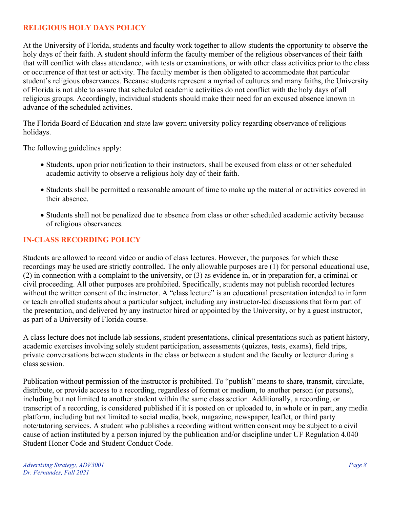## **RELIGIOUS HOLY DAYS POLICY**

At the University of Florida, students and faculty work together to allow students the opportunity to observe the holy days of their faith. A student should inform the faculty member of the religious observances of their faith that will conflict with class attendance, with tests or examinations, or with other class activities prior to the class or occurrence of that test or activity. The faculty member is then obligated to accommodate that particular student's religious observances. Because students represent a myriad of cultures and many faiths, the University of Florida is not able to assure that scheduled academic activities do not conflict with the holy days of all religious groups. Accordingly, individual students should make their need for an excused absence known in advance of the scheduled activities.

The Florida Board of Education and state law govern university policy regarding observance of religious holidays.

The following guidelines apply:

- Students, upon prior notification to their instructors, shall be excused from class or other scheduled academic activity to observe a religious holy day of their faith.
- Students shall be permitted a reasonable amount of time to make up the material or activities covered in their absence.
- Students shall not be penalized due to absence from class or other scheduled academic activity because of religious observances.

#### **IN-CLASS RECORDING POLICY**

Students are allowed to record video or audio of class lectures. However, the purposes for which these recordings may be used are strictly controlled. The only allowable purposes are (1) for personal educational use, (2) in connection with a complaint to the university, or (3) as evidence in, or in preparation for, a criminal or civil proceeding. All other purposes are prohibited. Specifically, students may not publish recorded lectures without the written consent of the instructor. A "class lecture" is an educational presentation intended to inform or teach enrolled students about a particular subject, including any instructor-led discussions that form part of the presentation, and delivered by any instructor hired or appointed by the University, or by a guest instructor, as part of a University of Florida course.

A class lecture does not include lab sessions, student presentations, clinical presentations such as patient history, academic exercises involving solely student participation, assessments (quizzes, tests, exams), field trips, private conversations between students in the class or between a student and the faculty or lecturer during a class session.

Publication without permission of the instructor is prohibited. To "publish" means to share, transmit, circulate, distribute, or provide access to a recording, regardless of format or medium, to another person (or persons), including but not limited to another student within the same class section. Additionally, a recording, or transcript of a recording, is considered published if it is posted on or uploaded to, in whole or in part, any media platform, including but not limited to social media, book, magazine, newspaper, leaflet, or third party note/tutoring services. A student who publishes a recording without written consent may be subject to a civil cause of action instituted by a person injured by the publication and/or discipline under UF Regulation 4.040 Student Honor Code and Student Conduct Code.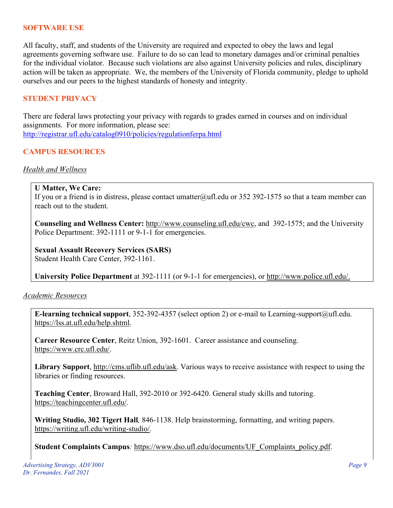#### **SOFTWARE USE**

All faculty, staff, and students of the University are required and expected to obey the laws and legal agreements governing software use. Failure to do so can lead to monetary damages and/or criminal penalties for the individual violator. Because such violations are also against University policies and rules, disciplinary action will be taken as appropriate. We, the members of the University of Florida community, pledge to uphold ourselves and our peers to the highest standards of honesty and integrity.

#### **STUDENT PRIVACY**

There are federal laws protecting your privacy with regards to grades earned in courses and on individual assignments. For more information, please see: <http://registrar.ufl.edu/catalog0910/policies/regulationferpa.html>

## **CAMPUS RESOURCES**

#### *Health and Wellness*

#### **U Matter, We Care:**

If you or a friend is in distress, please contact umatter@ufl.edu or 352 392-1575 so that a team member can reach out to the student.

**Counseling and Wellness Center:** [http://www.counseling.ufl.edu/cwc,](http://www.counseling.ufl.edu/cwc) and 392-1575; and the University Police Department: 392-1111 or 9-1-1 for emergencies.

**Sexual Assault Recovery Services (SARS)**  Student Health Care Center, 392-1161.

**University Police Department** at 392-1111 (or 9-1-1 for emergencies), or [http://www.police.ufl.edu/.](http://www.police.ufl.edu/)

#### *Academic Resources*

**E-learning technical support**, 352-392-4357 (select option 2) or e-mail to Learning-support@ufl.edu. [https://lss.at.ufl.edu/help.shtml.](https://lss.at.ufl.edu/help.shtml)

**Career Resource Center**, Reitz Union, 392-1601. Career assistance and counseling. [https://www.crc.ufl.edu/.](https://www.crc.ufl.edu/)

**Library Support**, [http://cms.uflib.ufl.edu/ask.](http://cms.uflib.ufl.edu/ask) Various ways to receive assistance with respect to using the libraries or finding resources.

**Teaching Center**, Broward Hall, 392-2010 or 392-6420. General study skills and tutoring. [https://teachingcenter.ufl.edu/.](https://teachingcenter.ufl.edu/)

**Writing Studio, 302 Tigert Hall***,* 846-1138. Help brainstorming, formatting, and writing papers. [https://writing.ufl.edu/writing-studio/.](https://writing.ufl.edu/writing-studio/)

**Student Complaints Campus***:* [https://www.dso.ufl.edu/documents/UF\\_Complaints\\_policy.pdf.](https://www.dso.ufl.edu/documents/UF_Complaints_policy.pdf)